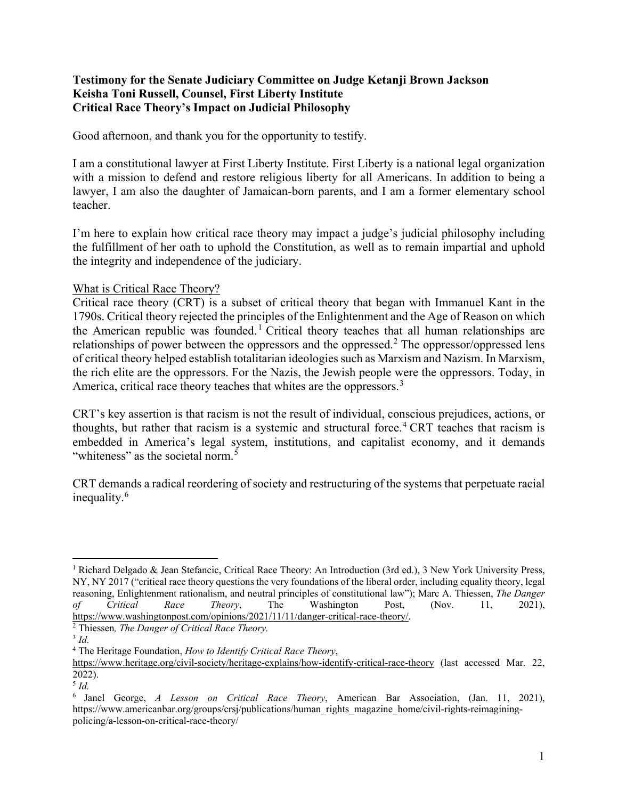## **Testimony for the Senate Judiciary Committee on Judge Ketanji Brown Jackson Keisha Toni Russell, Counsel, First Liberty Institute Critical Race Theory's Impact on Judicial Philosophy**

Good afternoon, and thank you for the opportunity to testify.

I am a constitutional lawyer at First Liberty Institute. First Liberty is a national legal organization with a mission to defend and restore religious liberty for all Americans. In addition to being a lawyer, I am also the daughter of Jamaican-born parents, and I am a former elementary school teacher.

I'm here to explain how critical race theory may impact a judge's judicial philosophy including the fulfillment of her oath to uphold the Constitution, as well as to remain impartial and uphold the integrity and independence of the judiciary.

## What is Critical Race Theory?

Critical race theory (CRT) is a subset of critical theory that began with Immanuel Kant in the 1790s. Critical theory rejected the principles of the Enlightenment and the Age of Reason on which the American republic was founded.<sup>[1](#page-0-0)</sup> Critical theory teaches that all human relationships are relationships of power between the oppressors and the oppressed.<sup>[2](#page-0-1)</sup> The oppressor/oppressed lens of critical theory helped establish totalitarian ideologies such as Marxism and Nazism. In Marxism, the rich elite are the oppressors. For the Nazis, the Jewish people were the oppressors. Today, in America, critical race theory teaches that whites are the oppressors.<sup>[3](#page-0-2)</sup>

CRT's key assertion is that racism is not the result of individual, conscious prejudices, actions, or thoughts, but rather that racism is a systemic and structural force. [4](#page-0-3) CRT teaches that racism is embedded in America's legal system, institutions, and capitalist economy, and it demands "whiteness" as the societal norm.<sup>[5](#page-0-4)</sup>

CRT demands a radical reordering of society and restructuring of the systems that perpetuate racial inequality.<sup>[6](#page-0-5)</sup>

 $\overline{\phantom{a}}$ 

<span id="page-0-0"></span><sup>&</sup>lt;sup>1</sup> Richard Delgado & Jean Stefancic, Critical Race Theory: An Introduction (3rd ed.), 3 New York University Press, NY, NY 2017 ("critical race theory questions the very foundations of the liberal order, including equality theory, legal reasoning, Enlightenment rationalism, and neutral principles of constitutional law"); Marc A. Thiessen, *The Danger of Critical Race Theory*, The Washington Post, (Nov. 11, 2021), [https://www.washingtonpost.com/opinions/2021/11/11/danger-critical-race-theory/.](https://www.washingtonpost.com/opinions/2021/11/11/danger-critical-race-theory/)

<span id="page-0-1"></span>Thiessen*, The Danger of Critical Race Theory.*

<span id="page-0-2"></span><sup>3</sup> *Id.*

<span id="page-0-3"></span><sup>4</sup> The Heritage Foundation, *How to Identify Critical Race Theory*,

<https://www.heritage.org/civil-society/heritage-explains/how-identify-critical-race-theory> (last accessed Mar. 22, 2022). 5 *Id.*

<span id="page-0-5"></span><span id="page-0-4"></span><sup>6</sup> Janel George, *A Lesson on Critical Race Theory*, American Bar Association, (Jan. 11, 2021), https://www.americanbar.org/groups/crsj/publications/human\_rights\_magazine\_home/civil-rights-reimaginingpolicing/a-lesson-on-critical-race-theory/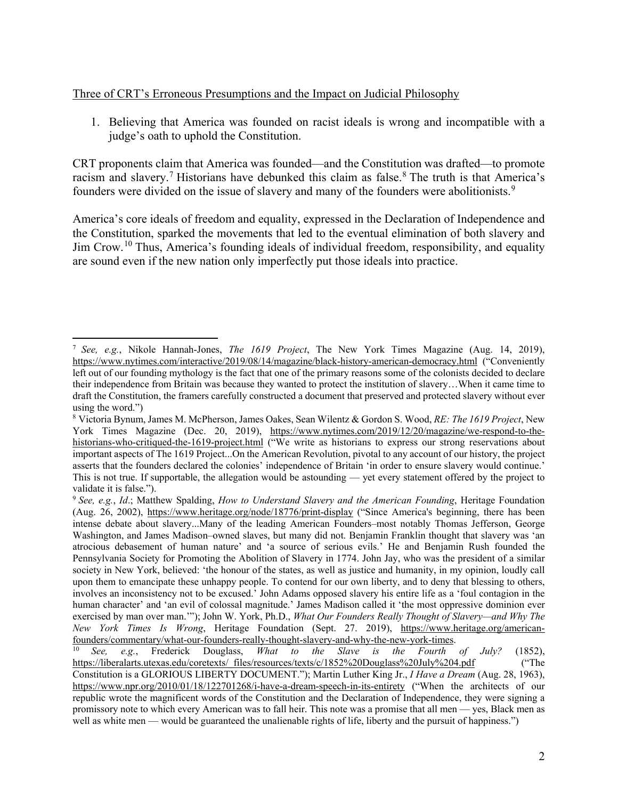## Three of CRT's Erroneous Presumptions and the Impact on Judicial Philosophy

1. Believing that America was founded on racist ideals is wrong and incompatible with a judge's oath to uphold the Constitution.

CRT proponents claim that America was founded—and the Constitution was drafted—to promote racism and slavery.<sup>[7](#page-1-0)</sup> Historians have debunked this claim as false.<sup>[8](#page-1-1)</sup> The truth is that America's founders were divided on the issue of slavery and many of the founders were abolitionists.<sup>[9](#page-1-2)</sup>

America's core ideals of freedom and equality, expressed in the Declaration of Independence and the Constitution, sparked the movements that led to the eventual elimination of both slavery and Jim Crow.[10](#page-1-3) Thus, America's founding ideals of individual freedom, responsibility, and equality are sound even if the new nation only imperfectly put those ideals into practice.

<span id="page-1-0"></span>l <sup>7</sup> *See, e.g.*, Nikole Hannah-Jones, *The 1619 Project*, The New York Times Magazine (Aug. 14, 2019), <https://www.nytimes.com/interactive/2019/08/14/magazine/black-history-american-democracy.html> ("Conveniently left out of our founding mythology is the fact that one of the primary reasons some of the colonists decided to declare their independence from Britain was because they wanted to protect the institution of slavery…When it came time to draft the Constitution, the framers carefully constructed a document that preserved and protected slavery without ever using the word.")

<span id="page-1-1"></span><sup>8</sup> Victoria Bynum, James M. McPherson, James Oakes, Sean Wilentz & Gordon S. Wood, *RE: The 1619 Project*, New York Times Magazine (Dec. 20, 2019), [https://www.nytimes.com/2019/12/20/magazine/we-respond-to-the](https://www.nytimes.com/2019/12/20/magazine/we-respond-to-the-historians-who-critiqued-the-1619-project.html)[historians-who-critiqued-the-1619-project.html](https://www.nytimes.com/2019/12/20/magazine/we-respond-to-the-historians-who-critiqued-the-1619-project.html) ("We write as historians to express our strong reservations about important aspects of The 1619 Project...On the American Revolution, pivotal to any account of our history, the project asserts that the founders declared the colonies' independence of Britain 'in order to ensure slavery would continue.' This is not true. If supportable, the allegation would be astounding — yet every statement offered by the project to validate it is false.").

<span id="page-1-2"></span><sup>9</sup> *See, e.g.*, *Id*.; Matthew Spalding, *How to Understand Slavery and the American Founding*, Heritage Foundation (Aug. 26, 2002),<https://www.heritage.org/node/18776/print-display> ("Since America's beginning, there has been intense debate about slavery...Many of the leading American Founders–most notably Thomas Jefferson, George Washington, and James Madison–owned slaves, but many did not. Benjamin Franklin thought that slavery was 'an atrocious debasement of human nature' and 'a source of serious evils.' He and Benjamin Rush founded the Pennsylvania Society for Promoting the Abolition of Slavery in 1774. John Jay, who was the president of a similar society in New York, believed: 'the honour of the states, as well as justice and humanity, in my opinion, loudly call upon them to emancipate these unhappy people. To contend for our own liberty, and to deny that blessing to others, involves an inconsistency not to be excused.' John Adams opposed slavery his entire life as a 'foul contagion in the human character' and 'an evil of colossal magnitude.' James Madison called it 'the most oppressive dominion ever exercised by man over man.'"); John W. York, Ph.D., *What Our Founders Really Thought of Slavery—and Why The New York Times Is Wrong*, Heritage Foundation (Sept. 27. 2019), [https://www.heritage.org/american](https://www.heritage.org/american-founders/commentary/what-our-founders-really-thought-slavery-and-why-the-new-york-times)[founders/commentary/what-our-founders-really-thought-slavery-and-why-the-new-york-times.](https://www.heritage.org/american-founders/commentary/what-our-founders-really-thought-slavery-and-why-the-new-york-times) 10 *See, e.g.*, Frederick Douglass, *What to the Slave is the Fourth of July?* (1852),

<span id="page-1-3"></span>[https://liberalarts.utexas.edu/coretexts/\\_files/resources/texts/c/1852%20Douglass%20July%204.pdf](https://liberalarts.utexas.edu/coretexts/_files/resources/texts/c/1852%20Douglass%20July%204.pdf) ("The

Constitution is a GLORIOUS LIBERTY DOCUMENT."); Martin Luther King Jr., *I Have a Dream* (Aug. 28, 1963), <https://www.npr.org/2010/01/18/122701268/i-have-a-dream-speech-in-its-entirety> ("When the architects of our republic wrote the magnificent words of the Constitution and the Declaration of Independence, they were signing a promissory note to which every American was to fall heir. This note was a promise that all men — yes, Black men as well as white men — would be guaranteed the unalienable rights of life, liberty and the pursuit of happiness.")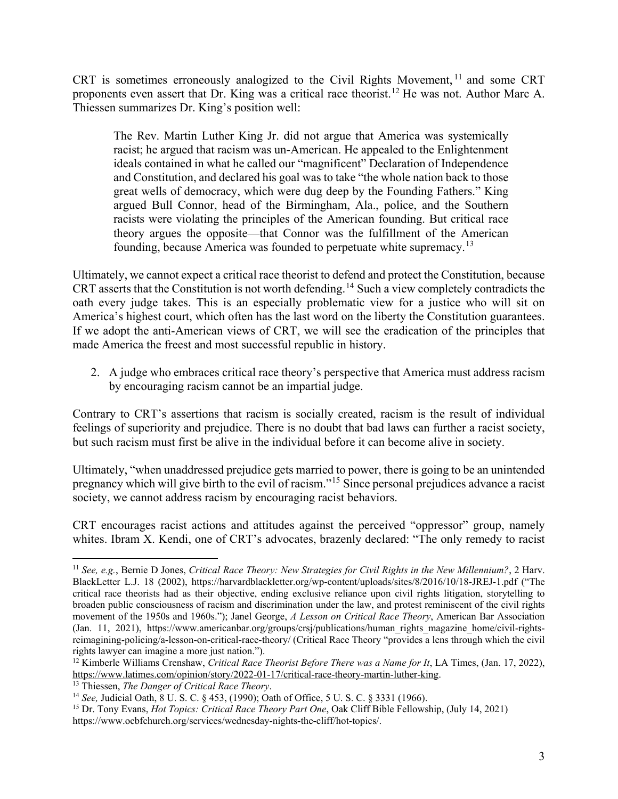CRT is sometimes erroneously analogized to the Civil Rights Movement, [11](#page-2-0) and some CRT proponents even assert that Dr. King was a critical race theorist.[12](#page-2-1) He was not. Author Marc A. Thiessen summarizes Dr. King's position well:

The Rev. Martin Luther King Jr. did not argue that America was systemically racist; he argued that racism was un-American. He appealed to the Enlightenment ideals contained in what he called our "magnificent" Declaration of Independence and Constitution, and declared his goal was to take "the whole nation back to those great wells of democracy, which were dug deep by the Founding Fathers." King argued Bull Connor, head of the Birmingham, Ala., police, and the Southern racists were violating the principles of the American founding. But critical race theory argues the opposite—that Connor was the fulfillment of the American founding, because America was founded to perpetuate white supremacy.[13](#page-2-2)

Ultimately, we cannot expect a critical race theorist to defend and protect the Constitution, because CRT asserts that the Constitution is not worth defending.<sup>[14](#page-2-3)</sup> Such a view completely contradicts the oath every judge takes. This is an especially problematic view for a justice who will sit on America's highest court, which often has the last word on the liberty the Constitution guarantees. If we adopt the anti-American views of CRT, we will see the eradication of the principles that made America the freest and most successful republic in history.

2. A judge who embraces critical race theory's perspective that America must address racism by encouraging racism cannot be an impartial judge.

Contrary to CRT's assertions that racism is socially created, racism is the result of individual feelings of superiority and prejudice. There is no doubt that bad laws can further a racist society, but such racism must first be alive in the individual before it can become alive in society.

Ultimately, "when unaddressed prejudice gets married to power, there is going to be an unintended pregnancy which will give birth to the evil of racism."[15](#page-2-4) Since personal prejudices advance a racist society, we cannot address racism by encouraging racist behaviors.

CRT encourages racist actions and attitudes against the perceived "oppressor" group, namely whites. Ibram X. Kendi, one of CRT's advocates, brazenly declared: "The only remedy to racist

 $\overline{\phantom{a}}$ 

<span id="page-2-0"></span><sup>11</sup> *See, e.g.*, Bernie D Jones, *Critical Race Theory: New Strategies for Civil Rights in the New Millennium?*, 2 Harv. BlackLetter L.J. 18 (2002), https://harvardblackletter.org/wp-content/uploads/sites/8/2016/10/18-JREJ-1.pdf ("The critical race theorists had as their objective, ending exclusive reliance upon civil rights litigation, storytelling to broaden public consciousness of racism and discrimination under the law, and protest reminiscent of the civil rights movement of the 1950s and 1960s."); Janel George, *A Lesson on Critical Race Theory*, American Bar Association (Jan. 11, 2021), https://www.americanbar.org/groups/crsj/publications/human\_rights\_magazine\_home/civil-rightsreimagining-policing/a-lesson-on-critical-race-theory/ (Critical Race Theory "provides a lens through which the civil

<span id="page-2-1"></span>rights lawyer can imagine a more just nation.").<br><sup>12</sup> Kimberle Williams Crenshaw, *Critical Race Theorist Before There was a Name for It*, LA Times, (Jan. 17, 2022),<br>https://www.latimes.com/opinion/story/2022-01-17/critica

<span id="page-2-2"></span><sup>&</sup>lt;sup>13</sup> Thiessen, *The Danger of Critical Race Theory*.<br><sup>14</sup> *See*, Judicial Oath, 8 U. S. C. § 453, (1990); Oath of Office, 5 U. S. C. § 3331 (1966).

<span id="page-2-4"></span><span id="page-2-3"></span><sup>15</sup> Dr. Tony Evans, *Hot Topics: Critical Race Theory Part One*, Oak Cliff Bible Fellowship, (July 14, 2021) https://www.ocbfchurch.org/services/wednesday-nights-the-cliff/hot-topics/.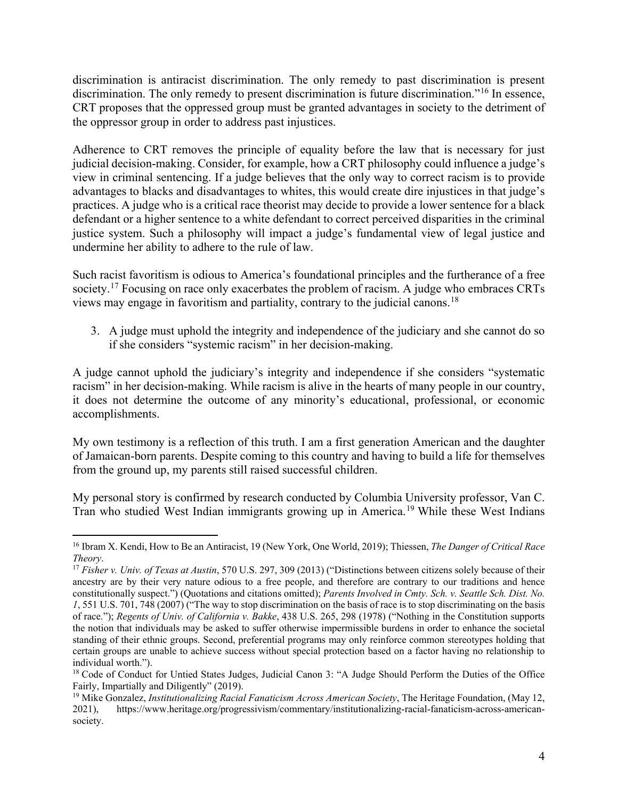discrimination is antiracist discrimination. The only remedy to past discrimination is present discrimination. The only remedy to present discrimination is future discrimination."<sup>[16](#page-3-0)</sup> In essence, CRT proposes that the oppressed group must be granted advantages in society to the detriment of the oppressor group in order to address past injustices.

Adherence to CRT removes the principle of equality before the law that is necessary for just judicial decision-making. Consider, for example, how a CRT philosophy could influence a judge's view in criminal sentencing. If a judge believes that the only way to correct racism is to provide advantages to blacks and disadvantages to whites, this would create dire injustices in that judge's practices. A judge who is a critical race theorist may decide to provide a lower sentence for a black defendant or a higher sentence to a white defendant to correct perceived disparities in the criminal justice system. Such a philosophy will impact a judge's fundamental view of legal justice and undermine her ability to adhere to the rule of law.

Such racist favoritism is odious to America's foundational principles and the furtherance of a free society.<sup>[17](#page-3-1)</sup> Focusing on race only exacerbates the problem of racism. A judge who embraces CRTs views may engage in favoritism and partiality, contrary to the judicial canons.[18](#page-3-2)

3. A judge must uphold the integrity and independence of the judiciary and she cannot do so if she considers "systemic racism" in her decision-making.

A judge cannot uphold the judiciary's integrity and independence if she considers "systematic racism" in her decision-making. While racism is alive in the hearts of many people in our country, it does not determine the outcome of any minority's educational, professional, or economic accomplishments.

My own testimony is a reflection of this truth. I am a first generation American and the daughter of Jamaican-born parents. Despite coming to this country and having to build a life for themselves from the ground up, my parents still raised successful children.

My personal story is confirmed by research conducted by Columbia University professor, Van C. Tran who studied West Indian immigrants growing up in America.<sup>[19](#page-3-3)</sup> While these West Indians

 $\overline{\phantom{a}}$ 

<span id="page-3-0"></span><sup>16</sup> Ibram X. Kendi, How to Be an Antiracist, 19 (New York, One World, 2019); Thiessen, *The Danger of Critical Race Theory*.

<span id="page-3-1"></span><sup>17</sup> *Fisher v. Univ. of Texas at Austin*, 570 U.S. 297, 309 (2013) ("Distinctions between citizens solely because of their ancestry are by their very nature odious to a free people, and therefore are contrary to our traditions and hence constitutionally suspect.") (Quotations and citations omitted); *Parents Involved in Cmty. Sch. v. Seattle Sch. Dist. No. 1*, 551 U.S. 701, 748 (2007) ("The way to stop discrimination on the basis of race is to stop discriminating on the basis of race."); *Regents of Univ. of California v. Bakke*, 438 U.S. 265, 298 (1978) ("Nothing in the Constitution supports the notion that individuals may be asked to suffer otherwise impermissible burdens in order to enhance the societal standing of their ethnic groups. Second, preferential programs may only reinforce common stereotypes holding that certain groups are unable to achieve success without special protection based on a factor having no relationship to individual worth.").

<span id="page-3-2"></span><sup>&</sup>lt;sup>18</sup> Code of Conduct for Untied States Judges, Judicial Canon 3: "A Judge Should Perform the Duties of the Office Fairly, Impartially and Diligently" (2019).

<span id="page-3-3"></span><sup>19</sup> Mike Gonzalez, *Institutionalizing Racial Fanaticism Across American Society*, The Heritage Foundation, (May 12, 2021), https://www.heritage.org/progressivism/commentary/institutionalizing-racial-fanaticism-across-americansociety.